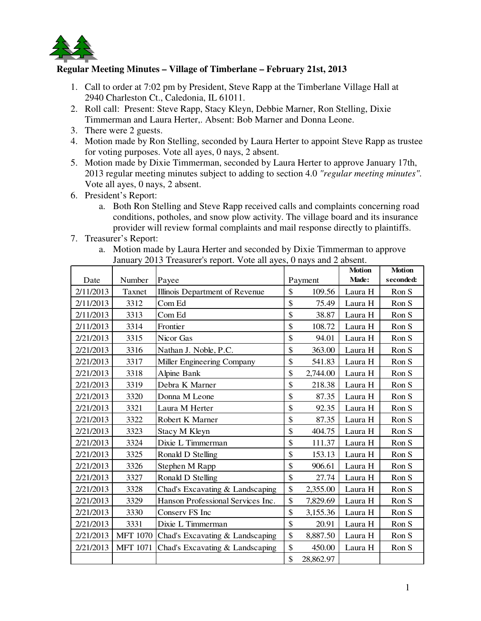

## **Regular Meeting Minutes – Village of Timberlane – February 21st, 2013**

- 1. Call to order at 7:02 pm by President, Steve Rapp at the Timberlane Village Hall at 2940 Charleston Ct., Caledonia, IL 61011.
- 2. Roll call: Present: Steve Rapp, Stacy Kleyn, Debbie Marner, Ron Stelling, Dixie Timmerman and Laura Herter,. Absent: Bob Marner and Donna Leone.
- 3. There were 2 guests.
- 4. Motion made by Ron Stelling, seconded by Laura Herter to appoint Steve Rapp as trustee for voting purposes. Vote all ayes, 0 nays, 2 absent.
- 5. Motion made by Dixie Timmerman, seconded by Laura Herter to approve January 17th, 2013 regular meeting minutes subject to adding to section 4.0 *"regular meeting minutes".*  Vote all ayes, 0 nays, 2 absent.
- 6. President's Report:
	- a. Both Ron Stelling and Steve Rapp received calls and complaints concerning road conditions, potholes, and snow plow activity. The village board and its insurance provider will review formal complaints and mail response directly to plaintiffs.
- 7. Treasurer's Report:

| a. Motion made by Laura Herter and seconded by Dixie Timmerman to approve |
|---------------------------------------------------------------------------|
| January 2013 Treasurer's report. Vote all ayes, 0 nays and 2 absent.      |

| Date      | Number          | Payee                             | Payment |           | <b>Motion</b><br>Made: | <b>Motion</b><br>seconded: |
|-----------|-----------------|-----------------------------------|---------|-----------|------------------------|----------------------------|
| 2/11/2013 | Taxnet          | Illinois Department of Revenue    | \$      | 109.56    | Laura H                | Ron S                      |
| 2/11/2013 | 3312            | Com Ed                            | \$      | 75.49     | Laura H                | Ron S                      |
| 2/11/2013 | 3313            | Com Ed                            | \$      | 38.87     | Laura H                | Ron S                      |
| 2/11/2013 | 3314            | Frontier                          | \$      | 108.72    | Laura H                | Ron S                      |
| 2/21/2013 | 3315            | Nicor Gas                         | \$      | 94.01     | Laura H                | Ron S                      |
| 2/21/2013 | 3316            | Nathan J. Noble, P.C.             | \$      | 363.00    | Laura H                | Ron S                      |
| 2/21/2013 | 3317            | Miller Engineering Company        | \$      | 541.83    | Laura H                | Ron S                      |
| 2/21/2013 | 3318            | <b>Alpine Bank</b>                | \$      | 2,744.00  | Laura H                | Ron S                      |
| 2/21/2013 | 3319            | Debra K Marner                    | \$      | 218.38    | Laura H                | Ron S                      |
| 2/21/2013 | 3320            | Donna M Leone                     | \$      | 87.35     | Laura H                | Ron S                      |
| 2/21/2013 | 3321            | Laura M Herter                    | \$      | 92.35     | Laura H                | Ron S                      |
| 2/21/2013 | 3322            | Robert K Marner                   | \$      | 87.35     | Laura H                | Ron S                      |
| 2/21/2013 | 3323            | Stacy M Kleyn                     | \$      | 404.75    | Laura H                | Ron S                      |
| 2/21/2013 | 3324            | Dixie L Timmerman                 | \$      | 111.37    | Laura H                | Ron S                      |
| 2/21/2013 | 3325            | Ronald D Stelling                 | \$      | 153.13    | Laura H                | Ron S                      |
| 2/21/2013 | 3326            | Stephen M Rapp                    | \$      | 906.61    | Laura H                | Ron S                      |
| 2/21/2013 | 3327            | Ronald D Stelling                 | \$      | 27.74     | Laura H                | Ron S                      |
| 2/21/2013 | 3328            | Chad's Excavating & Landscaping   | \$      | 2,355.00  | Laura H                | Ron S                      |
| 2/21/2013 | 3329            | Hanson Professional Services Inc. | \$      | 7,829.69  | Laura H                | Ron S                      |
| 2/21/2013 | 3330            | Conserv FS Inc                    | \$      | 3,155.36  | Laura H                | Ron S                      |
| 2/21/2013 | 3331            | Dixie L Timmerman                 | \$      | 20.91     | Laura H                | Ron S                      |
| 2/21/2013 | <b>MFT 1070</b> | Chad's Excavating & Landscaping   | \$      | 8,887.50  | Laura H                | Ron S                      |
| 2/21/2013 | <b>MFT 1071</b> | Chad's Excavating & Landscaping   | \$      | 450.00    | Laura H                | Ron S                      |
|           |                 |                                   | \$      | 28,862.97 |                        |                            |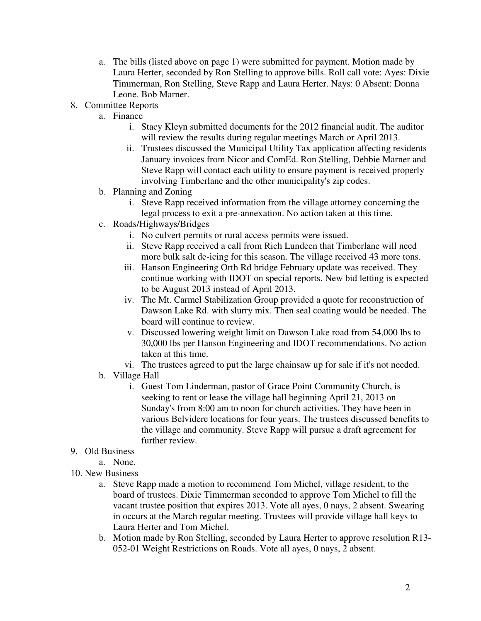- a. The bills (listed above on page 1) were submitted for payment. Motion made by Laura Herter, seconded by Ron Stelling to approve bills. Roll call vote: Ayes: Dixie Timmerman, Ron Stelling, Steve Rapp and Laura Herter. Nays: 0 Absent: Donna Leone. Bob Marner.
- 8. Committee Reports
	- a. Finance
		- i. Stacy Kleyn submitted documents for the 2012 financial audit. The auditor will review the results during regular meetings March or April 2013.
		- ii. Trustees discussed the Municipal Utility Tax application affecting residents January invoices from Nicor and ComEd. Ron Stelling, Debbie Marner and Steve Rapp will contact each utility to ensure payment is received properly involving Timberlane and the other municipality's zip codes.
	- b. Planning and Zoning
		- i. Steve Rapp received information from the village attorney concerning the legal process to exit a pre-annexation. No action taken at this time.
	- c. Roads/Highways/Bridges
		- i. No culvert permits or rural access permits were issued.
		- ii. Steve Rapp received a call from Rich Lundeen that Timberlane will need more bulk salt de-icing for this season. The village received 43 more tons.
		- iii. Hanson Engineering Orth Rd bridge February update was received. They continue working with IDOT on special reports. New bid letting is expected to be August 2013 instead of April 2013.
		- iv. The Mt. Carmel Stabilization Group provided a quote for reconstruction of Dawson Lake Rd. with slurry mix. Then seal coating would be needed. The board will continue to review.
		- v. Discussed lowering weight limit on Dawson Lake road from 54,000 lbs to 30,000 lbs per Hanson Engineering and IDOT recommendations. No action taken at this time.
		- vi. The trustees agreed to put the large chainsaw up for sale if it's not needed.
	- b. Village Hall
		- i. Guest Tom Linderman, pastor of Grace Point Community Church, is seeking to rent or lease the village hall beginning April 21, 2013 on Sunday's from 8:00 am to noon for church activities. They have been in various Belvidere locations for four years. The trustees discussed benefits to the village and community. Steve Rapp will pursue a draft agreement for further review.

## 9. Old Business

- a. None.
- 10. New Business
	- a. Steve Rapp made a motion to recommend Tom Michel, village resident, to the board of trustees. Dixie Timmerman seconded to approve Tom Michel to fill the vacant trustee position that expires 2013. Vote all ayes, 0 nays, 2 absent. Swearing in occurs at the March regular meeting. Trustees will provide village hall keys to Laura Herter and Tom Michel.
	- b. Motion made by Ron Stelling, seconded by Laura Herter to approve resolution R13- 052-01 Weight Restrictions on Roads. Vote all ayes, 0 nays, 2 absent.